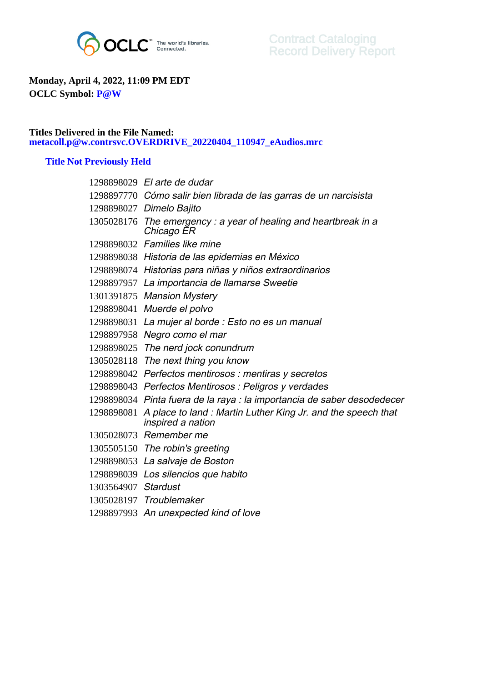

## **Monday, April 4, 2022, 11:09 PM EDT OCLC Symbol: P@W**

## **Titles Delivered in the File Named: metacoll.p@w.contrsvc.OVERDRIVE\_20220404\_110947\_eAudios.mrc**

## **Title Not Previously Held**

|                     | 1298898029 El arte de dudar                                                      |
|---------------------|----------------------------------------------------------------------------------|
|                     | 1298897770 Cómo salir bien librada de las garras de un narcisista                |
|                     | 1298898027 Dimelo Bajito                                                         |
|                     | $1305028176$ The emergency: a year of healing and heartbreak in a<br>Chicago ER  |
|                     | 1298898032 Families like mine                                                    |
|                     | 1298898038 Historia de las epidemias en México                                   |
|                     | 1298898074 Historias para niñas y niños extraordinarios                          |
|                     | 1298897957 La importancia de llamarse Sweetie                                    |
|                     | 1301391875 Mansion Mystery                                                       |
|                     | 1298898041 Muerde el polvo                                                       |
|                     | 1298898031 La mujer al borde : Esto no es un manual                              |
|                     | 1298897958 Negro como el mar                                                     |
|                     | 1298898025 The nerd jock conundrum                                               |
|                     | 1305028118 The next thing you know                                               |
|                     | 1298898042 Perfectos mentirosos : mentiras y secretos                            |
|                     | 1298898043 Perfectos Mentirosos : Peligros y verdades                            |
|                     | 1298898034 Pinta fuera de la raya : la importancia de saber desodedecer          |
| 1298898081          | A place to land: Martin Luther King Jr. and the speech that<br>inspired a nation |
|                     | 1305028073 Remember me                                                           |
|                     | 1305505150 The robin's greeting                                                  |
|                     | 1298898053 La salvaje de Boston                                                  |
|                     | 1298898039 Los silencios que habito                                              |
| 1303564907 Stardust |                                                                                  |
|                     | 1305028197 Troublemaker                                                          |
|                     | 1298897993 An unexpected kind of love                                            |